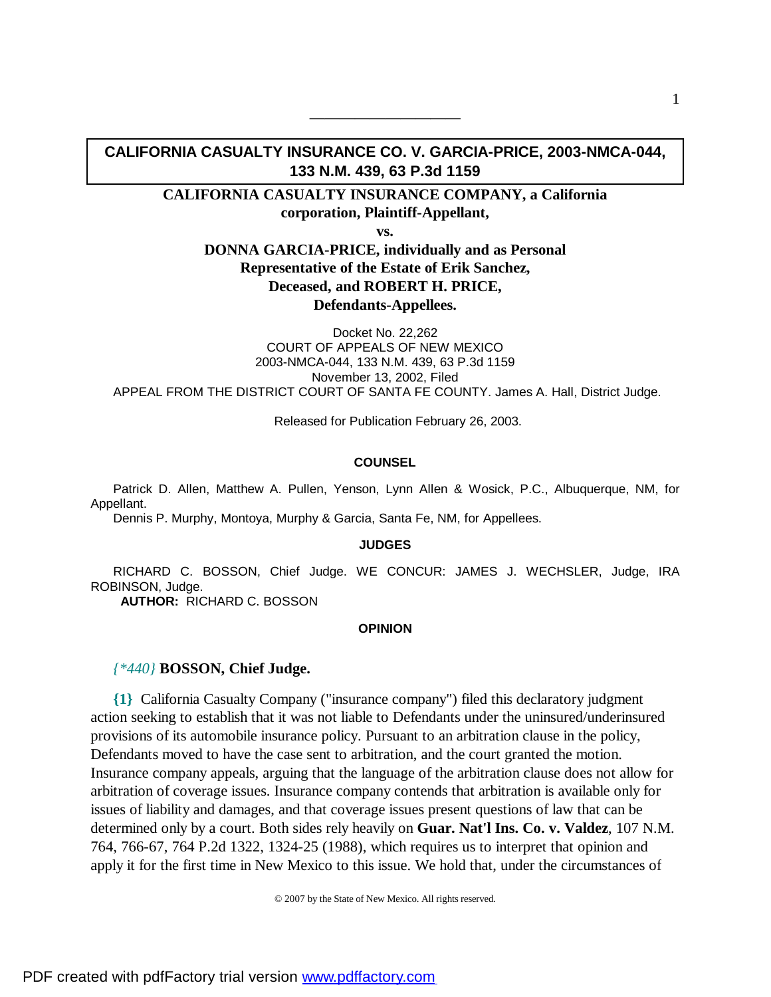# **CALIFORNIA CASUALTY INSURANCE CO. V. GARCIA-PRICE, 2003-NMCA-044, 133 N.M. 439, 63 P.3d 1159**

——————————

## **CALIFORNIA CASUALTY INSURANCE COMPANY, a California corporation, Plaintiff-Appellant,**

**vs.**

## **DONNA GARCIA-PRICE, individually and as Personal Representative of the Estate of Erik Sanchez, Deceased, and ROBERT H. PRICE, Defendants-Appellees.**

Docket No. 22,262 COURT OF APPEALS OF NEW MEXICO 2003-NMCA-044, 133 N.M. 439, 63 P.3d 1159 November 13, 2002, Filed APPEAL FROM THE DISTRICT COURT OF SANTA FE COUNTY. James A. Hall, District Judge.

Released for Publication February 26, 2003.

#### **COUNSEL**

Patrick D. Allen, Matthew A. Pullen, Yenson, Lynn Allen & Wosick, P.C., Albuquerque, NM, for Appellant.

Dennis P. Murphy, Montoya, Murphy & Garcia, Santa Fe, NM, for Appellees.

### **JUDGES**

RICHARD C. BOSSON, Chief Judge. WE CONCUR: JAMES J. WECHSLER, Judge, IRA ROBINSON, Judge.

 **AUTHOR:** RICHARD C. BOSSON

#### **OPINION**

### *{\*440}* **BOSSON, Chief Judge.**

**{1}** California Casualty Company ("insurance company") filed this declaratory judgment action seeking to establish that it was not liable to Defendants under the uninsured/underinsured provisions of its automobile insurance policy. Pursuant to an arbitration clause in the policy, Defendants moved to have the case sent to arbitration, and the court granted the motion. Insurance company appeals, arguing that the language of the arbitration clause does not allow for arbitration of coverage issues. Insurance company contends that arbitration is available only for issues of liability and damages, and that coverage issues present questions of law that can be determined only by a court. Both sides rely heavily on **Guar. Nat'l Ins. Co. v. Valdez**, 107 N.M. 764, 766-67, 764 P.2d 1322, 1324-25 (1988), which requires us to interpret that opinion and apply it for the first time in New Mexico to this issue. We hold that, under the circumstances of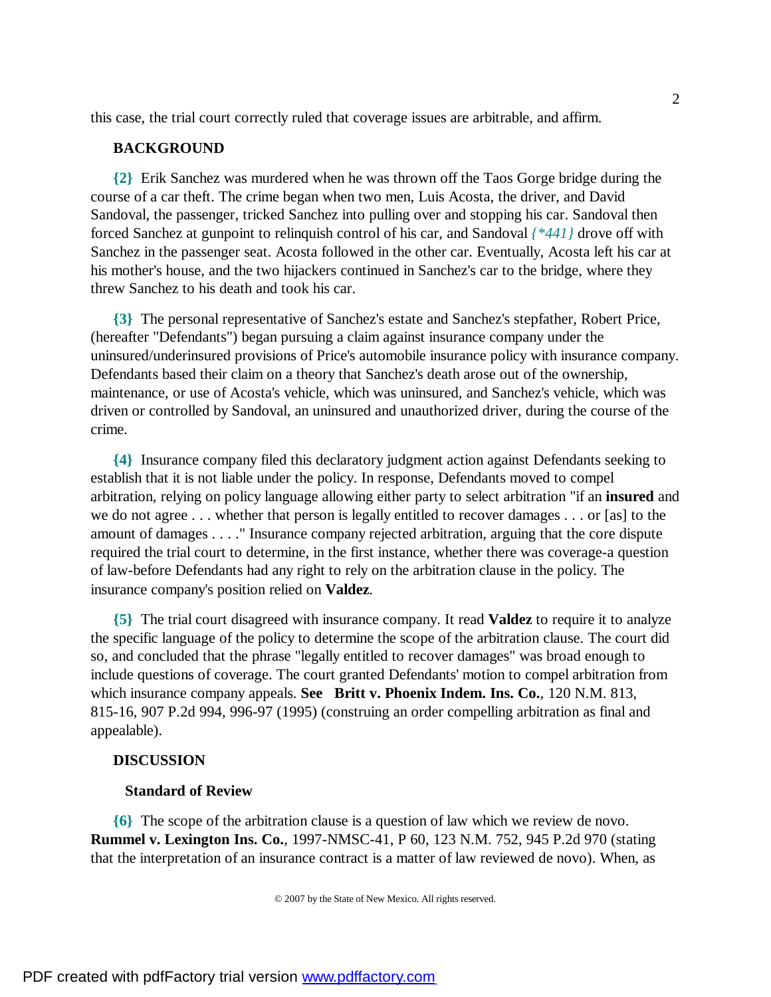this case, the trial court correctly ruled that coverage issues are arbitrable, and affirm.

## **BACKGROUND**

**{2}** Erik Sanchez was murdered when he was thrown off the Taos Gorge bridge during the course of a car theft. The crime began when two men, Luis Acosta, the driver, and David Sandoval, the passenger, tricked Sanchez into pulling over and stopping his car. Sandoval then forced Sanchez at gunpoint to relinquish control of his car, and Sandoval *{\*441}* drove off with Sanchez in the passenger seat. Acosta followed in the other car. Eventually, Acosta left his car at his mother's house, and the two hijackers continued in Sanchez's car to the bridge, where they threw Sanchez to his death and took his car.

**{3}** The personal representative of Sanchez's estate and Sanchez's stepfather, Robert Price, (hereafter "Defendants") began pursuing a claim against insurance company under the uninsured/underinsured provisions of Price's automobile insurance policy with insurance company. Defendants based their claim on a theory that Sanchez's death arose out of the ownership, maintenance, or use of Acosta's vehicle, which was uninsured, and Sanchez's vehicle, which was driven or controlled by Sandoval, an uninsured and unauthorized driver, during the course of the crime.

**{4}** Insurance company filed this declaratory judgment action against Defendants seeking to establish that it is not liable under the policy. In response, Defendants moved to compel arbitration, relying on policy language allowing either party to select arbitration "if an **insured** and we do not agree . . . whether that person is legally entitled to recover damages . . . or [as] to the amount of damages . . . ." Insurance company rejected arbitration, arguing that the core dispute required the trial court to determine, in the first instance, whether there was coverage-a question of law-before Defendants had any right to rely on the arbitration clause in the policy. The insurance company's position relied on **Valdez**.

**{5}** The trial court disagreed with insurance company. It read **Valdez** to require it to analyze the specific language of the policy to determine the scope of the arbitration clause. The court did so, and concluded that the phrase "legally entitled to recover damages" was broad enough to include questions of coverage. The court granted Defendants' motion to compel arbitration from which insurance company appeals. **See Britt v. Phoenix Indem. Ins. Co.**, 120 N.M. 813, 815-16, 907 P.2d 994, 996-97 (1995) (construing an order compelling arbitration as final and appealable).

### **DISCUSSION**

### **Standard of Review**

**{6}** The scope of the arbitration clause is a question of law which we review de novo. **Rummel v. Lexington Ins. Co.**, 1997-NMSC-41, P 60, 123 N.M. 752, 945 P.2d 970 (stating that the interpretation of an insurance contract is a matter of law reviewed de novo). When, as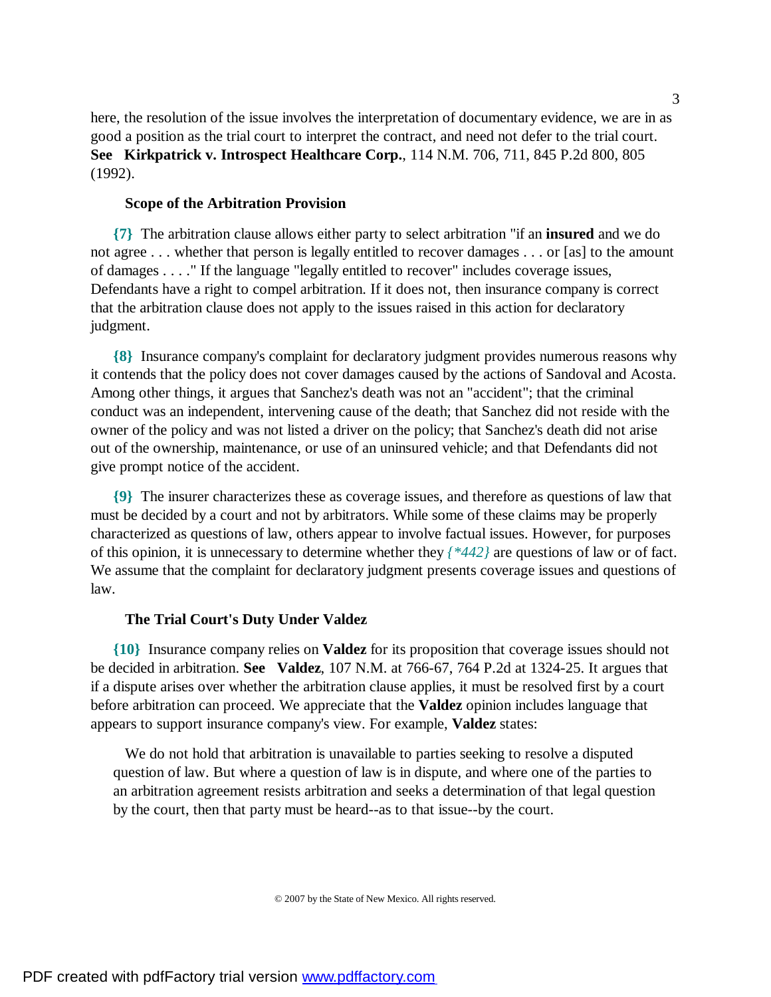here, the resolution of the issue involves the interpretation of documentary evidence, we are in as good a position as the trial court to interpret the contract, and need not defer to the trial court. **See Kirkpatrick v. Introspect Healthcare Corp.**, 114 N.M. 706, 711, 845 P.2d 800, 805 (1992).

### **Scope of the Arbitration Provision**

**{7}** The arbitration clause allows either party to select arbitration "if an **insured** and we do not agree . . . whether that person is legally entitled to recover damages . . . or [as] to the amount of damages . . . ." If the language "legally entitled to recover" includes coverage issues, Defendants have a right to compel arbitration. If it does not, then insurance company is correct that the arbitration clause does not apply to the issues raised in this action for declaratory judgment.

**{8}** Insurance company's complaint for declaratory judgment provides numerous reasons why it contends that the policy does not cover damages caused by the actions of Sandoval and Acosta. Among other things, it argues that Sanchez's death was not an "accident"; that the criminal conduct was an independent, intervening cause of the death; that Sanchez did not reside with the owner of the policy and was not listed a driver on the policy; that Sanchez's death did not arise out of the ownership, maintenance, or use of an uninsured vehicle; and that Defendants did not give prompt notice of the accident.

**{9}** The insurer characterizes these as coverage issues, and therefore as questions of law that must be decided by a court and not by arbitrators. While some of these claims may be properly characterized as questions of law, others appear to involve factual issues. However, for purposes of this opinion, it is unnecessary to determine whether they *{\*442}* are questions of law or of fact. We assume that the complaint for declaratory judgment presents coverage issues and questions of law.

### **The Trial Court's Duty Under Valdez**

**{10}** Insurance company relies on **Valdez** for its proposition that coverage issues should not be decided in arbitration. **See Valdez**, 107 N.M. at 766-67, 764 P.2d at 1324-25. It argues that if a dispute arises over whether the arbitration clause applies, it must be resolved first by a court before arbitration can proceed. We appreciate that the **Valdez** opinion includes language that appears to support insurance company's view. For example, **Valdez** states:

 We do not hold that arbitration is unavailable to parties seeking to resolve a disputed question of law. But where a question of law is in dispute, and where one of the parties to an arbitration agreement resists arbitration and seeks a determination of that legal question by the court, then that party must be heard--as to that issue--by the court.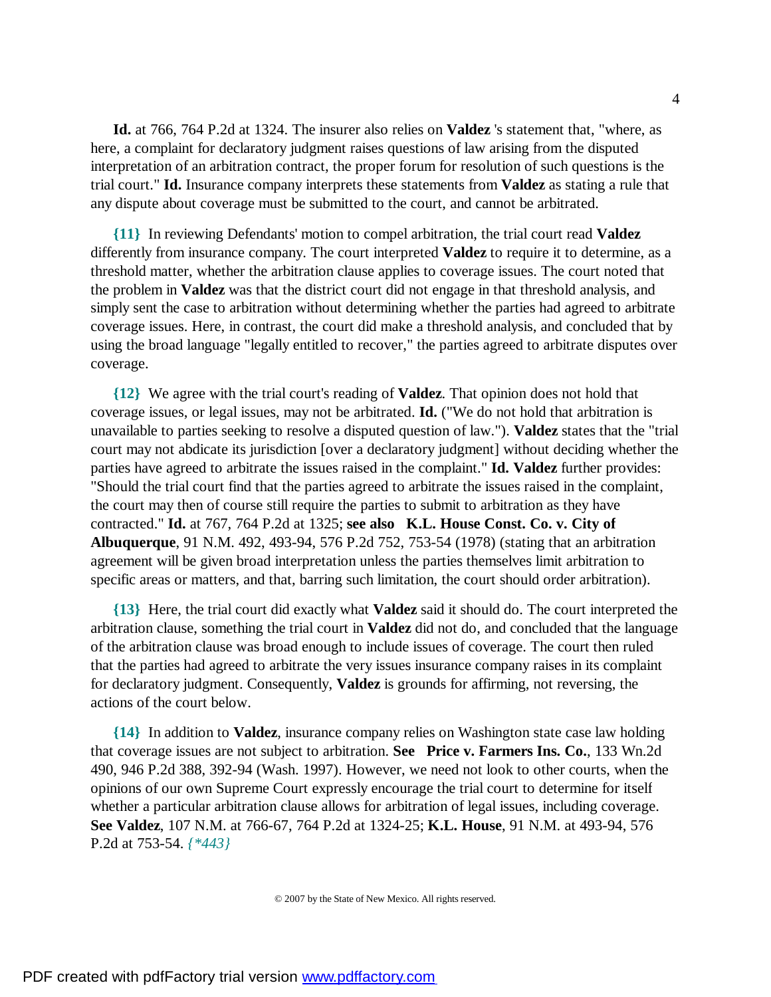**Id.** at 766, 764 P.2d at 1324. The insurer also relies on **Valdez** 's statement that, "where, as here, a complaint for declaratory judgment raises questions of law arising from the disputed interpretation of an arbitration contract, the proper forum for resolution of such questions is the trial court." **Id.** Insurance company interprets these statements from **Valdez** as stating a rule that any dispute about coverage must be submitted to the court, and cannot be arbitrated.

**{11}** In reviewing Defendants' motion to compel arbitration, the trial court read **Valdez** differently from insurance company. The court interpreted **Valdez** to require it to determine, as a threshold matter, whether the arbitration clause applies to coverage issues. The court noted that the problem in **Valdez** was that the district court did not engage in that threshold analysis, and simply sent the case to arbitration without determining whether the parties had agreed to arbitrate coverage issues. Here, in contrast, the court did make a threshold analysis, and concluded that by using the broad language "legally entitled to recover," the parties agreed to arbitrate disputes over coverage.

**{12}** We agree with the trial court's reading of **Valdez**. That opinion does not hold that coverage issues, or legal issues, may not be arbitrated. **Id.** ("We do not hold that arbitration is unavailable to parties seeking to resolve a disputed question of law."). **Valdez** states that the "trial court may not abdicate its jurisdiction [over a declaratory judgment] without deciding whether the parties have agreed to arbitrate the issues raised in the complaint." **Id. Valdez** further provides: "Should the trial court find that the parties agreed to arbitrate the issues raised in the complaint, the court may then of course still require the parties to submit to arbitration as they have contracted." **Id.** at 767, 764 P.2d at 1325; **see also K.L. House Const. Co. v. City of Albuquerque**, 91 N.M. 492, 493-94, 576 P.2d 752, 753-54 (1978) (stating that an arbitration agreement will be given broad interpretation unless the parties themselves limit arbitration to specific areas or matters, and that, barring such limitation, the court should order arbitration).

**{13}** Here, the trial court did exactly what **Valdez** said it should do. The court interpreted the arbitration clause, something the trial court in **Valdez** did not do, and concluded that the language of the arbitration clause was broad enough to include issues of coverage. The court then ruled that the parties had agreed to arbitrate the very issues insurance company raises in its complaint for declaratory judgment. Consequently, **Valdez** is grounds for affirming, not reversing, the actions of the court below.

**{14}** In addition to **Valdez**, insurance company relies on Washington state case law holding that coverage issues are not subject to arbitration. **See Price v. Farmers Ins. Co.**, 133 Wn.2d 490, 946 P.2d 388, 392-94 (Wash. 1997). However, we need not look to other courts, when the opinions of our own Supreme Court expressly encourage the trial court to determine for itself whether a particular arbitration clause allows for arbitration of legal issues, including coverage. **See Valdez**, 107 N.M. at 766-67, 764 P.2d at 1324-25; **K.L. House**, 91 N.M. at 493-94, 576 P.2d at 753-54. *{\*443}*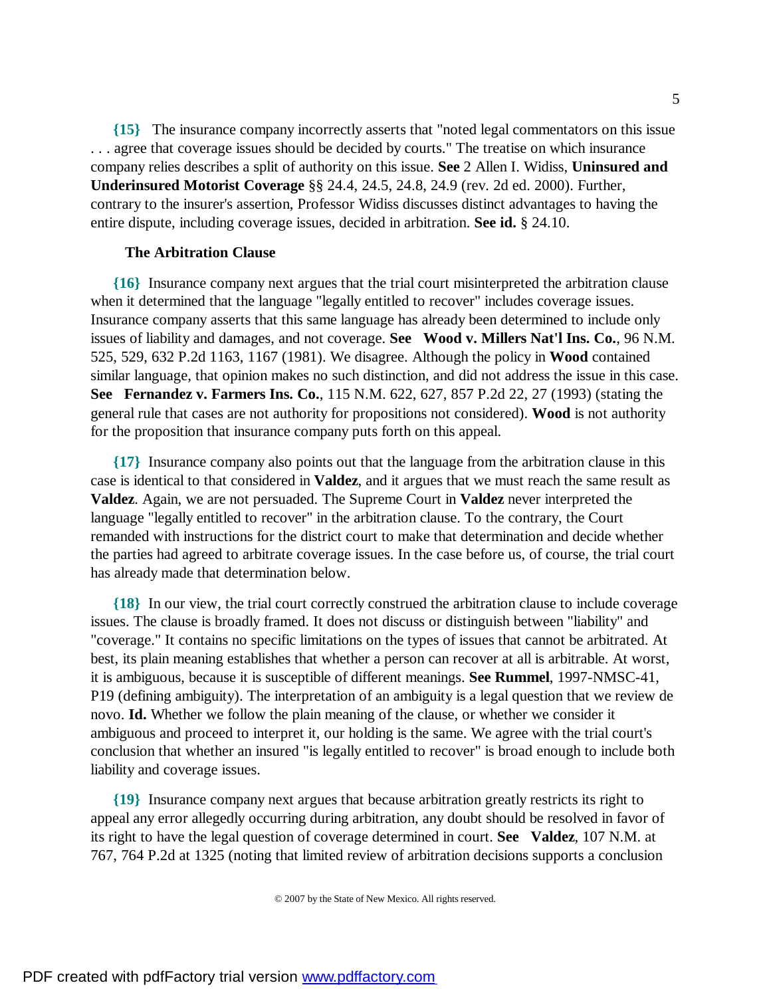**{15}** The insurance company incorrectly asserts that "noted legal commentators on this issue . . . agree that coverage issues should be decided by courts." The treatise on which insurance company relies describes a split of authority on this issue. **See** 2 Allen I. Widiss, **Uninsured and Underinsured Motorist Coverage** §§ 24.4, 24.5, 24.8, 24.9 (rev. 2d ed. 2000). Further, contrary to the insurer's assertion, Professor Widiss discusses distinct advantages to having the entire dispute, including coverage issues, decided in arbitration. **See id.** § 24.10.

### **The Arbitration Clause**

**{16}** Insurance company next argues that the trial court misinterpreted the arbitration clause when it determined that the language "legally entitled to recover" includes coverage issues. Insurance company asserts that this same language has already been determined to include only issues of liability and damages, and not coverage. **See Wood v. Millers Nat'l Ins. Co.**, 96 N.M. 525, 529, 632 P.2d 1163, 1167 (1981). We disagree. Although the policy in **Wood** contained similar language, that opinion makes no such distinction, and did not address the issue in this case. **See Fernandez v. Farmers Ins. Co.**, 115 N.M. 622, 627, 857 P.2d 22, 27 (1993) (stating the general rule that cases are not authority for propositions not considered). **Wood** is not authority for the proposition that insurance company puts forth on this appeal.

**{17}** Insurance company also points out that the language from the arbitration clause in this case is identical to that considered in **Valdez**, and it argues that we must reach the same result as **Valdez**. Again, we are not persuaded. The Supreme Court in **Valdez** never interpreted the language "legally entitled to recover" in the arbitration clause. To the contrary, the Court remanded with instructions for the district court to make that determination and decide whether the parties had agreed to arbitrate coverage issues. In the case before us, of course, the trial court has already made that determination below.

**{18}** In our view, the trial court correctly construed the arbitration clause to include coverage issues. The clause is broadly framed. It does not discuss or distinguish between "liability" and "coverage." It contains no specific limitations on the types of issues that cannot be arbitrated. At best, its plain meaning establishes that whether a person can recover at all is arbitrable. At worst, it is ambiguous, because it is susceptible of different meanings. **See Rummel**, 1997-NMSC-41, P19 (defining ambiguity). The interpretation of an ambiguity is a legal question that we review de novo. **Id.** Whether we follow the plain meaning of the clause, or whether we consider it ambiguous and proceed to interpret it, our holding is the same. We agree with the trial court's conclusion that whether an insured "is legally entitled to recover" is broad enough to include both liability and coverage issues.

**{19}** Insurance company next argues that because arbitration greatly restricts its right to appeal any error allegedly occurring during arbitration, any doubt should be resolved in favor of its right to have the legal question of coverage determined in court. **See Valdez**, 107 N.M. at 767, 764 P.2d at 1325 (noting that limited review of arbitration decisions supports a conclusion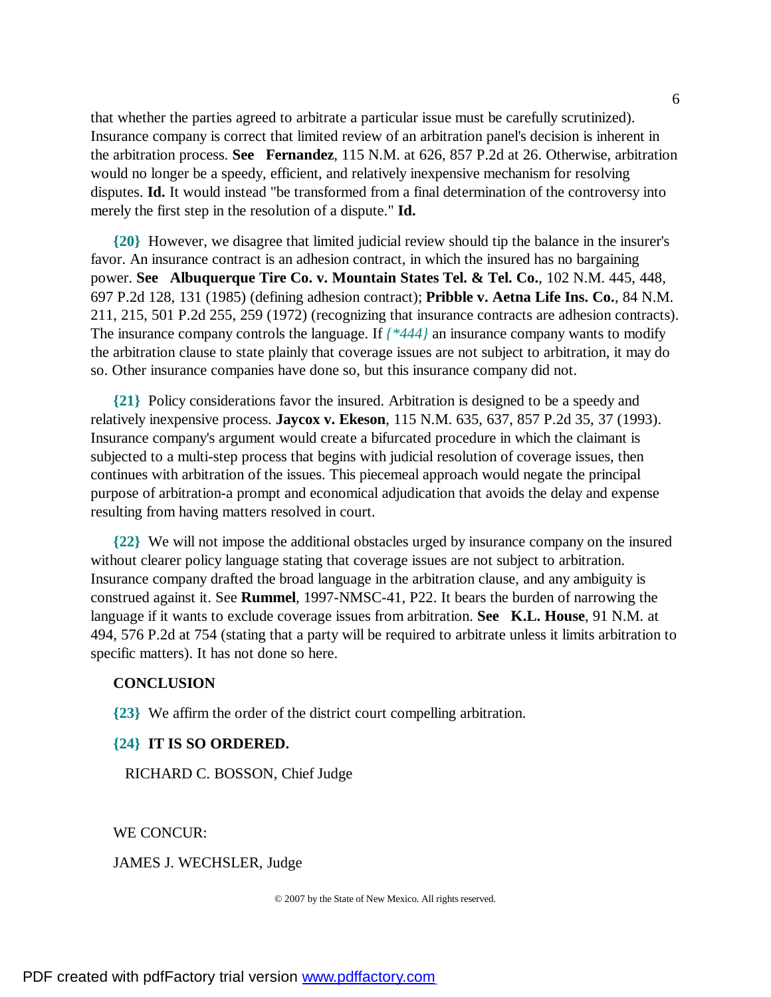that whether the parties agreed to arbitrate a particular issue must be carefully scrutinized). Insurance company is correct that limited review of an arbitration panel's decision is inherent in the arbitration process. **See Fernandez**, 115 N.M. at 626, 857 P.2d at 26. Otherwise, arbitration would no longer be a speedy, efficient, and relatively inexpensive mechanism for resolving disputes. **Id.** It would instead "be transformed from a final determination of the controversy into merely the first step in the resolution of a dispute." **Id.**

**{20}** However, we disagree that limited judicial review should tip the balance in the insurer's favor. An insurance contract is an adhesion contract, in which the insured has no bargaining power. **See Albuquerque Tire Co. v. Mountain States Tel. & Tel. Co.**, 102 N.M. 445, 448, 697 P.2d 128, 131 (1985) (defining adhesion contract); **Pribble v. Aetna Life Ins. Co.**, 84 N.M. 211, 215, 501 P.2d 255, 259 (1972) (recognizing that insurance contracts are adhesion contracts). The insurance company controls the language. If *{\*444}* an insurance company wants to modify the arbitration clause to state plainly that coverage issues are not subject to arbitration, it may do so. Other insurance companies have done so, but this insurance company did not.

**{21}** Policy considerations favor the insured. Arbitration is designed to be a speedy and relatively inexpensive process. **Jaycox v. Ekeson**, 115 N.M. 635, 637, 857 P.2d 35, 37 (1993). Insurance company's argument would create a bifurcated procedure in which the claimant is subjected to a multi-step process that begins with judicial resolution of coverage issues, then continues with arbitration of the issues. This piecemeal approach would negate the principal purpose of arbitration-a prompt and economical adjudication that avoids the delay and expense resulting from having matters resolved in court.

**{22}** We will not impose the additional obstacles urged by insurance company on the insured without clearer policy language stating that coverage issues are not subject to arbitration. Insurance company drafted the broad language in the arbitration clause, and any ambiguity is construed against it. See **Rummel**, 1997-NMSC-41, P22. It bears the burden of narrowing the language if it wants to exclude coverage issues from arbitration. **See K.L. House**, 91 N.M. at 494, 576 P.2d at 754 (stating that a party will be required to arbitrate unless it limits arbitration to specific matters). It has not done so here.

### **CONCLUSION**

**{23}** We affirm the order of the district court compelling arbitration.

#### **{24} IT IS SO ORDERED.**

RICHARD C. BOSSON, Chief Judge

WE CONCUR:

JAMES J. WECHSLER, Judge